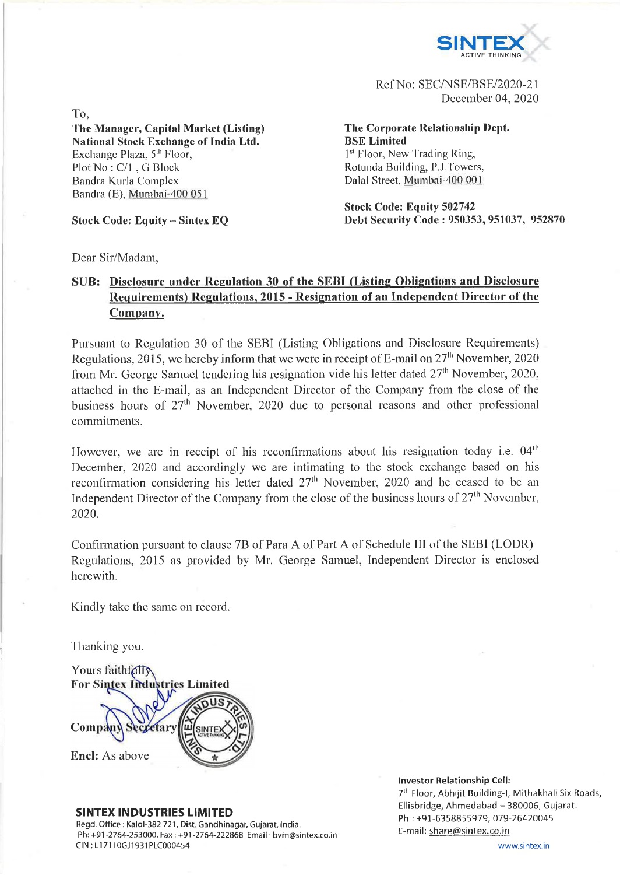

Ref No: SEC/NSE/BSE/2020-21 December 04, 2020

To, **The Manager, Capital Market (Listing) National Stock Exchange of India Ltd.** Exchange Plaza, 5<sup>th</sup> Floor, Plot No : C/l , G Block Bandra Kurla Complex Bandra (E), Minnbai-400 051

**Stock Code: Equity - Sintex EQ** 

**The Corporate Relationship Dept. BSE Limited** 1<sup>st</sup> Floor, New Trading Ring, Rotunda Building, P.J.Towers, Dalai Street, Mumbai-400 001

**Stock Code: Equity 502742 Debt Security Code : 950353, 951037, 952870**

Dear Sir/Madam,

## **SUB: Disclosure under Regulation 30 of the SEBI (Listing Obligations and Disclosure Requirements) Regulations, 2015 - Resignation of an Independent Director of the Company.**

Pursuant to Regulation 30 of the SEBI (Listing Obligations and Disclosure Requirements) Regulations, 2015, we hereby inform that we were in receipt of E-mail on  $27<sup>th</sup>$  November, 2020 from Mr. George Samuel tendering his resignation vide his letter dated  $27<sup>th</sup>$  November, 2020, attached in the E-mail, as an Independent Director of the Company from the close of the business hours of 27<sup>th</sup> November, 2020 due to personal reasons and other professional commitments.

However, we are in receipt of his reconfirmations about his resignation today i.e.  $04<sup>th</sup>$ December, 2020 and accordingly we are intimating to the stock exchange based on his reconfirmation considering his letter dated  $27<sup>th</sup>$  November, 2020 and he ceased to be an Independent Director of the Company from the close of the business hours of  $27<sup>th</sup>$  November, 2020.

Confirmation pursuant to clause 7B of Para A of Part A of Schedule III of the SEBI (LODR) Regulations, 2015 as provided by Mr. George Samuel, Independent Director is enclosed herewith.

Kindly take the same on record.

Thanking you.

Yours faithfolly **For Sintex Indu** stries Limited Comp: fary Encl: As above

## **SINTEX INDUSTRIES LIMITED**

Regd. Office : Kalol-382 721, Dist. Gandhinagar, Gujarat, India. Ph:+91-2764-253000, Fax; +91-2764-222868 Email: [bvhn@sintex.co.in](mailto:bvhn@sintex.co.in) Cl N : L17110GJ1931PLC000454

## **Investor Relationship Cell:**

7<sup>th</sup> Floor, Abhijit Building-I, Mithakhali Six Roads, Ellisbridge, Ahmedabad - 380006, Gujarat. Ph.: +91-6358855979, 079-26420045 E-mail: share@sintex.co.in